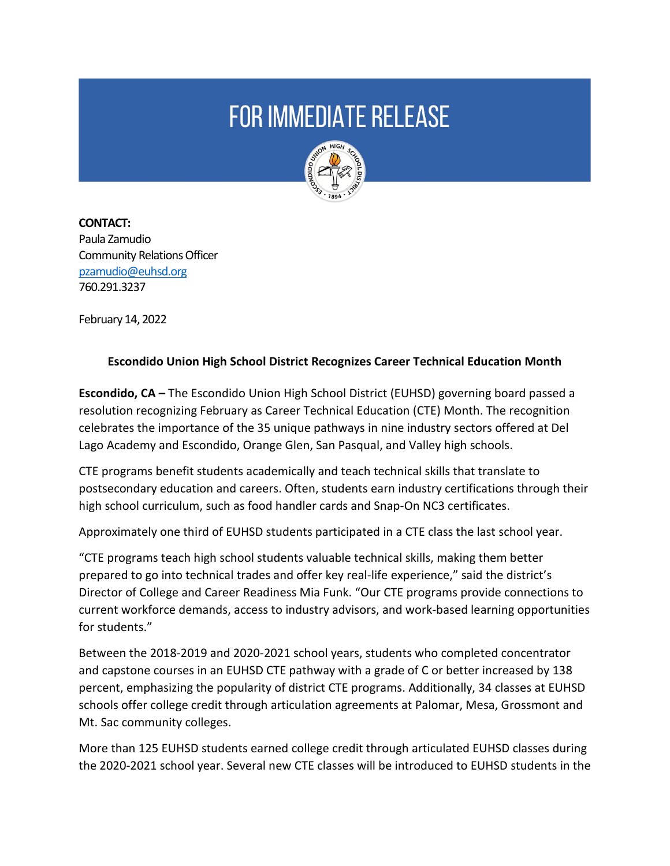## **FOR IMMEDIATE RELEASE**



**CONTACT:**  Paula Zamudio Community Relations Officer [pzamudio@euhsd.org](mailto:pzamudio@euhsd.org) 760.291.3237

February 14, 2022

## **Escondido Union High School District Recognizes Career Technical Education Month**

**Escondido, CA –** The Escondido Union High School District (EUHSD) governing board passed a resolution recognizing February as Career Technical Education (CTE) Month. The recognition celebrates the importance of the 35 unique pathways in nine industry sectors offered at Del Lago Academy and Escondido, Orange Glen, San Pasqual, and Valley high schools.

CTE programs benefit students academically and teach technical skills that translate to postsecondary education and careers. Often, students earn industry certifications through their high school curriculum, such as food handler cards and Snap-On NC3 certificates.

Approximately one third of EUHSD students participated in a CTE class the last school year.

"CTE programs teach high school students valuable technical skills, making them better prepared to go into technical trades and offer key real-life experience," said the district's Director of College and Career Readiness Mia Funk. "Our CTE programs provide connections to current workforce demands, access to industry advisors, and work-based learning opportunities for students."

Between the 2018-2019 and 2020-2021 school years, students who completed concentrator and capstone courses in an EUHSD CTE pathway with a grade of C or better increased by 138 percent, emphasizing the popularity of district CTE programs. Additionally, 34 classes at EUHSD schools offer college credit through articulation agreements at Palomar, Mesa, Grossmont and Mt. Sac community colleges.

More than 125 EUHSD students earned college credit through articulated EUHSD classes during the 2020-2021 school year. Several new CTE classes will be introduced to EUHSD students in the